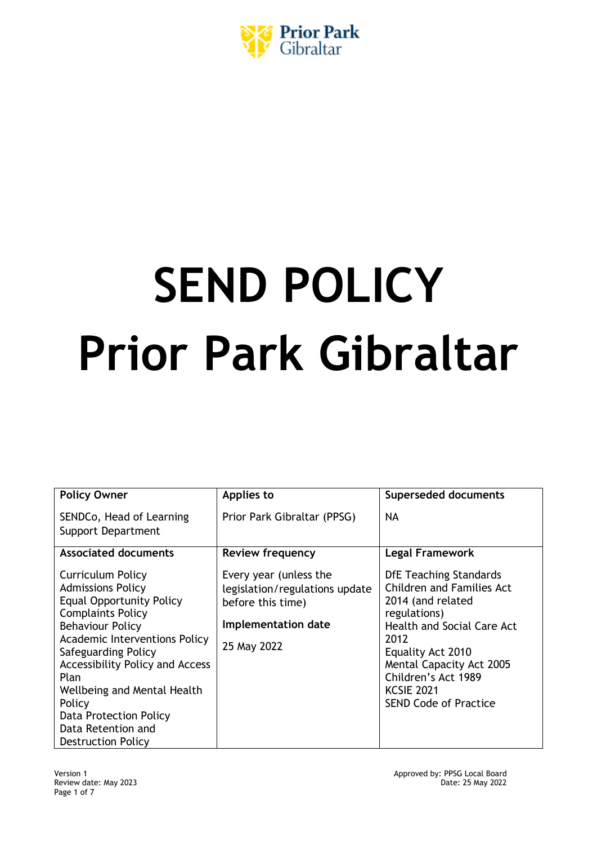

# **SEND POLICY Prior Park Gibraltar**

| <b>Policy Owner</b>                                                                                                                                                                                                                                                                                                                                                            | Applies to                                                                                                          | <b>Superseded documents</b>                                                                                                                                                                                                                                                      |
|--------------------------------------------------------------------------------------------------------------------------------------------------------------------------------------------------------------------------------------------------------------------------------------------------------------------------------------------------------------------------------|---------------------------------------------------------------------------------------------------------------------|----------------------------------------------------------------------------------------------------------------------------------------------------------------------------------------------------------------------------------------------------------------------------------|
| SENDCo, Head of Learning<br><b>Support Department</b>                                                                                                                                                                                                                                                                                                                          | Prior Park Gibraltar (PPSG)                                                                                         | <b>NA</b>                                                                                                                                                                                                                                                                        |
| <b>Associated documents</b>                                                                                                                                                                                                                                                                                                                                                    | <b>Review frequency</b>                                                                                             | <b>Legal Framework</b>                                                                                                                                                                                                                                                           |
| Curriculum Policy<br><b>Admissions Policy</b><br><b>Equal Opportunity Policy</b><br><b>Complaints Policy</b><br><b>Behaviour Policy</b><br><b>Academic Interventions Policy</b><br>Safeguarding Policy<br><b>Accessibility Policy and Access</b><br>Plan<br>Wellbeing and Mental Health<br>Policy<br>Data Protection Policy<br>Data Retention and<br><b>Destruction Policy</b> | Every year (unless the<br>legislation/regulations update<br>before this time)<br>Implementation date<br>25 May 2022 | <b>DfE</b> Teaching Standards<br><b>Children and Families Act</b><br>2014 (and related<br>regulations)<br><b>Health and Social Care Act</b><br>2012<br>Equality Act 2010<br>Mental Capacity Act 2005<br>Children's Act 1989<br><b>KCSIE 2021</b><br><b>SEND Code of Practice</b> |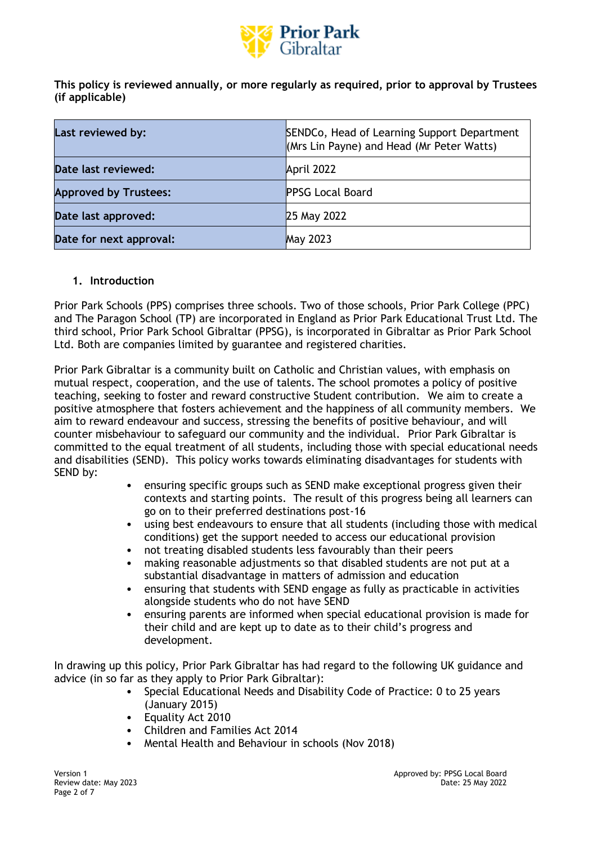

**This policy is reviewed annually, or more regularly as required, prior to approval by Trustees (if applicable)**

| Last reviewed by:            | SENDCo, Head of Learning Support Department<br>(Mrs Lin Payne) and Head (Mr Peter Watts) |
|------------------------------|------------------------------------------------------------------------------------------|
| Date last reviewed:          | April 2022                                                                               |
| <b>Approved by Trustees:</b> | <b>PPSG Local Board</b>                                                                  |
| Date last approved:          | 25 May 2022                                                                              |
| Date for next approval:      | <b>May 2023</b>                                                                          |

#### **1. Introduction**

Prior Park Schools (PPS) comprises three schools. Two of those schools, Prior Park College (PPC) and The Paragon School (TP) are incorporated in England as Prior Park Educational Trust Ltd. The third school, Prior Park School Gibraltar (PPSG), is incorporated in Gibraltar as Prior Park School Ltd. Both are companies limited by guarantee and registered charities.

Prior Park Gibraltar is a community built on Catholic and Christian values, with emphasis on mutual respect, cooperation, and the use of talents. The school promotes a policy of positive teaching, seeking to foster and reward constructive Student contribution.   We aim to create a positive atmosphere that fosters achievement and the happiness of all community members. We aim to reward endeavour and success, stressing the benefits of positive behaviour, and will counter misbehaviour to safeguard our community and the individual.   Prior Park Gibraltar is committed to the equal treatment of all students, including those with special educational needs and disabilities (SEND). This policy works towards eliminating disadvantages for students with SEND by:

- ensuring specific groups such as SEND make exceptional progress given their contexts and starting points. The result of this progress being all learners can go on to their preferred destinations post-16
- using best endeavours to ensure that all students (including those with medical conditions) get the support needed to access our educational provision
- not treating disabled students less favourably than their peers
- making reasonable adjustments so that disabled students are not put at a substantial disadvantage in matters of admission and education
- ensuring that students with SEND engage as fully as practicable in activities alongside students who do not have SEND
- ensuring parents are informed when special educational provision is made for their child and are kept up to date as to their child's progress and development.

In drawing up this policy, Prior Park Gibraltar has had regard to the following UK guidance and advice (in so far as they apply to Prior Park Gibraltar):

- Special Educational Needs and Disability Code of Practice: 0 to 25 years (January 2015)
- Equality Act 2010
- Children and Families Act 2014
- Mental Health and Behaviour in schools (Nov 2018)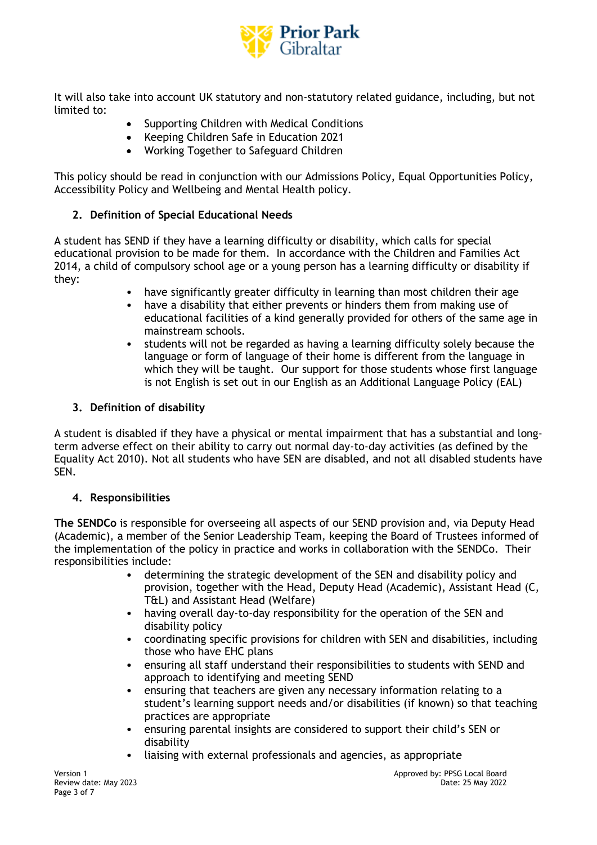

It will also take into account UK statutory and non-statutory related guidance, including, but not limited to:

- Supporting Children with Medical Conditions
- Keeping Children Safe in Education 2021
- Working Together to Safeguard Children

This policy should be read in conjunction with our Admissions Policy, Equal Opportunities Policy, Accessibility Policy and Wellbeing and Mental Health policy.

# **2. Definition of Special Educational Needs**

A student has SEND if they have a learning difficulty or disability, which calls for special educational provision to be made for them. In accordance with the Children and Families Act 2014, a child of compulsory school age or a young person has a learning difficulty or disability if they:

- have significantly greater difficulty in learning than most children their age
- have a disability that either prevents or hinders them from making use of educational facilities of a kind generally provided for others of the same age in mainstream schools.
- students will not be regarded as having a learning difficulty solely because the language or form of language of their home is different from the language in which they will be taught. Our support for those students whose first language is not English is set out in our English as an Additional Language Policy (EAL)

### **3. Definition of disability**

A student is disabled if they have a physical or mental impairment that has a substantial and longterm adverse effect on their ability to carry out normal day-to-day activities (as defined by the Equality Act 2010). Not all students who have SEN are disabled, and not all disabled students have **SEN.** 

### **4. Responsibilities**

**The SENDCo** is responsible for overseeing all aspects of our SEND provision and, via Deputy Head (Academic), a member of the Senior Leadership Team, keeping the Board of Trustees informed of the implementation of the policy in practice and works in collaboration with the SENDCo. Their responsibilities include:

- determining the strategic development of the SEN and disability policy and provision, together with the Head, Deputy Head (Academic), Assistant Head (C, T&L) and Assistant Head (Welfare)
- having overall day-to-day responsibility for the operation of the SEN and disability policy
- coordinating specific provisions for children with SEN and disabilities, including those who have EHC plans
- ensuring all staff understand their responsibilities to students with SEND and approach to identifying and meeting SEND
- ensuring that teachers are given any necessary information relating to a student's learning support needs and/or disabilities (if known) so that teaching practices are appropriate
- ensuring parental insights are considered to support their child's SEN or disability
- liaising with external professionals and agencies, as appropriate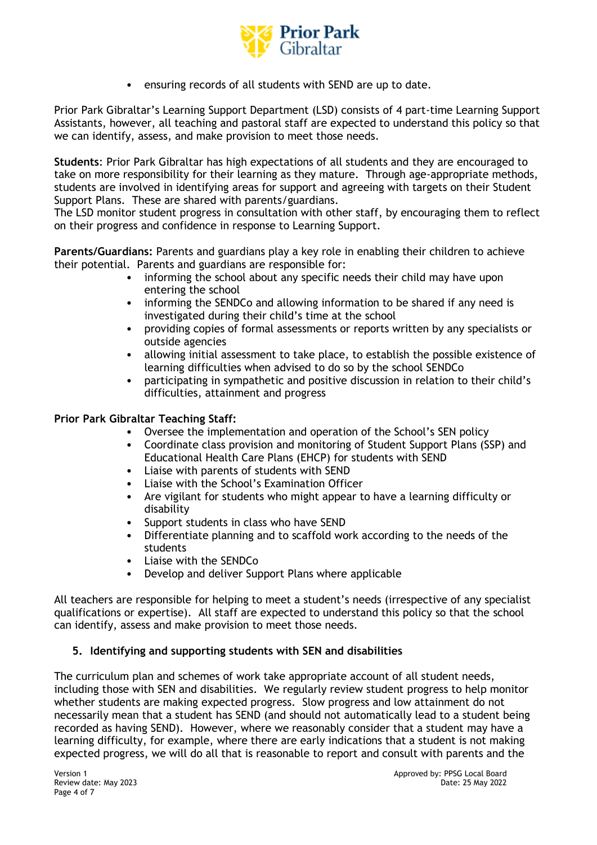

• ensuring records of all students with SEND are up to date.

Prior Park Gibraltar's Learning Support Department (LSD) consists of 4 part-time Learning Support Assistants, however, all teaching and pastoral staff are expected to understand this policy so that we can identify, assess, and make provision to meet those needs.

**Students**: Prior Park Gibraltar has high expectations of all students and they are encouraged to take on more responsibility for their learning as they mature. Through age-appropriate methods, students are involved in identifying areas for support and agreeing with targets on their Student Support Plans. These are shared with parents/guardians.

The LSD monitor student progress in consultation with other staff, by encouraging them to reflect on their progress and confidence in response to Learning Support.

**Parents/Guardians:** Parents and guardians play a key role in enabling their children to achieve their potential. Parents and guardians are responsible for:

- informing the school about any specific needs their child may have upon entering the school
- informing the SENDCo and allowing information to be shared if any need is investigated during their child's time at the school
- providing copies of formal assessments or reports written by any specialists or outside agencies
- allowing initial assessment to take place, to establish the possible existence of learning difficulties when advised to do so by the school SENDCo
- participating in sympathetic and positive discussion in relation to their child's difficulties, attainment and progress

# **Prior Park Gibraltar Teaching Staff:**

- Oversee the implementation and operation of the School's SEN policy
- Coordinate class provision and monitoring of Student Support Plans (SSP) and Educational Health Care Plans (EHCP) for students with SEND
- Liaise with parents of students with SEND
- Liaise with the School's Examination Officer
- Are vigilant for students who might appear to have a learning difficulty or disability
- Support students in class who have SEND
- Differentiate planning and to scaffold work according to the needs of the students
- Liaise with the SENDCo
- Develop and deliver Support Plans where applicable

All teachers are responsible for helping to meet a student's needs (irrespective of any specialist qualifications or expertise). All staff are expected to understand this policy so that the school can identify, assess and make provision to meet those needs.

### **5. Identifying and supporting students with SEN and disabilities**

The curriculum plan and schemes of work take appropriate account of all student needs, including those with SEN and disabilities. We regularly review student progress to help monitor whether students are making expected progress. Slow progress and low attainment do not necessarily mean that a student has SEND (and should not automatically lead to a student being recorded as having SEND). However, where we reasonably consider that a student may have a learning difficulty, for example, where there are early indications that a student is not making expected progress, we will do all that is reasonable to report and consult with parents and the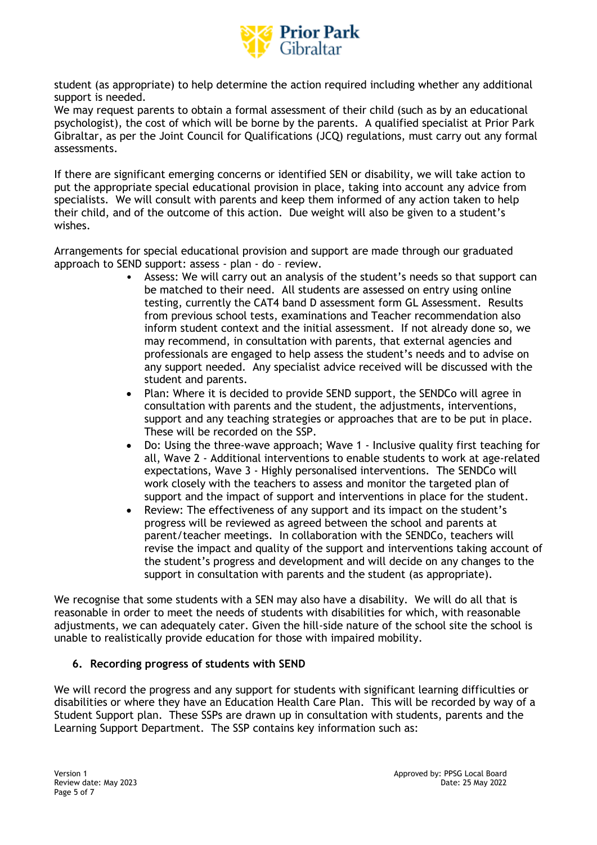

student (as appropriate) to help determine the action required including whether any additional support is needed.

We may request parents to obtain a formal assessment of their child (such as by an educational psychologist), the cost of which will be borne by the parents. A qualified specialist at Prior Park Gibraltar, as per the Joint Council for Qualifications (JCQ) regulations, must carry out any formal assessments.

If there are significant emerging concerns or identified SEN or disability, we will take action to put the appropriate special educational provision in place, taking into account any advice from specialists. We will consult with parents and keep them informed of any action taken to help their child, and of the outcome of this action. Due weight will also be given to a student's wishes.

Arrangements for special educational provision and support are made through our graduated approach to SEND support: assess - plan - do – review.

- Assess: We will carry out an analysis of the student's needs so that support can be matched to their need. All students are assessed on entry using online testing, currently the CAT4 band D assessment form GL Assessment. Results from previous school tests, examinations and Teacher recommendation also inform student context and the initial assessment. If not already done so, we may recommend, in consultation with parents, that external agencies and professionals are engaged to help assess the student's needs and to advise on any support needed. Any specialist advice received will be discussed with the student and parents.
- Plan: Where it is decided to provide SEND support, the SENDCo will agree in consultation with parents and the student, the adjustments, interventions, support and any teaching strategies or approaches that are to be put in place. These will be recorded on the SSP.
- Do: Using the three-wave approach; Wave 1 Inclusive quality first teaching for all, Wave 2 - Additional interventions to enable students to work at age-related expectations, Wave 3 - Highly personalised interventions. The SENDCo will work closely with the teachers to assess and monitor the targeted plan of support and the impact of support and interventions in place for the student.
- Review: The effectiveness of any support and its impact on the student's progress will be reviewed as agreed between the school and parents at parent/teacher meetings. In collaboration with the SENDCo, teachers will revise the impact and quality of the support and interventions taking account of the student's progress and development and will decide on any changes to the support in consultation with parents and the student (as appropriate).

We recognise that some students with a SEN may also have a disability. We will do all that is reasonable in order to meet the needs of students with disabilities for which, with reasonable adjustments, we can adequately cater. Given the hill-side nature of the school site the school is unable to realistically provide education for those with impaired mobility.

### **6. Recording progress of students with SEND**

We will record the progress and any support for students with significant learning difficulties or disabilities or where they have an Education Health Care Plan. This will be recorded by way of a Student Support plan. These SSPs are drawn up in consultation with students, parents and the Learning Support Department. The SSP contains key information such as: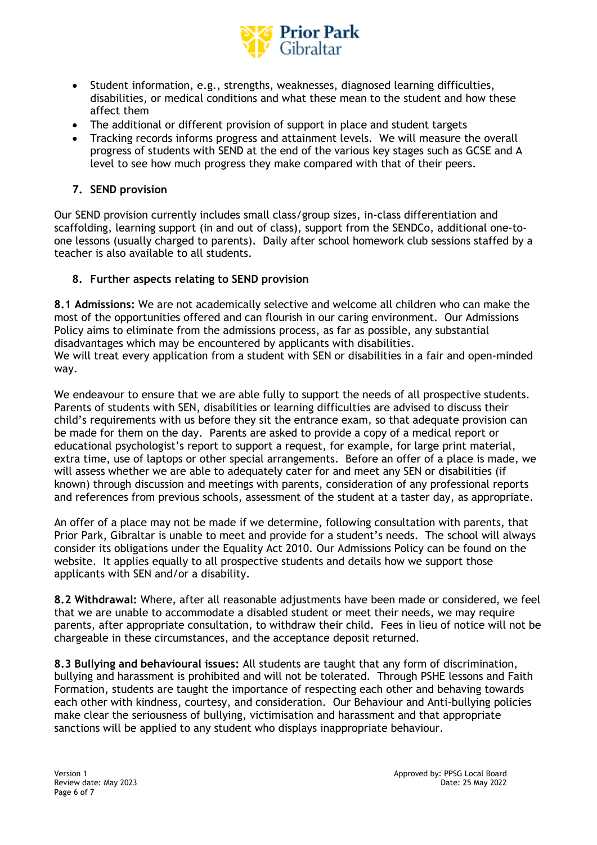

- Student information, e.g., strengths, weaknesses, diagnosed learning difficulties, disabilities, or medical conditions and what these mean to the student and how these affect them
- The additional or different provision of support in place and student targets
- Tracking records informs progress and attainment levels. We will measure the overall progress of students with SEND at the end of the various key stages such as GCSE and A level to see how much progress they make compared with that of their peers.

# **7. SEND provision**

Our SEND provision currently includes small class/group sizes, in-class differentiation and scaffolding, learning support (in and out of class), support from the SENDCo, additional one-toone lessons (usually charged to parents). Daily after school homework club sessions staffed by a teacher is also available to all students.

# **8. Further aspects relating to SEND provision**

**8.1 Admissions:** We are not academically selective and welcome all children who can make the most of the opportunities offered and can flourish in our caring environment. Our Admissions Policy aims to eliminate from the admissions process, as far as possible, any substantial disadvantages which may be encountered by applicants with disabilities. We will treat every application from a student with SEN or disabilities in a fair and open-minded way.

We endeavour to ensure that we are able fully to support the needs of all prospective students. Parents of students with SEN, disabilities or learning difficulties are advised to discuss their child's requirements with us before they sit the entrance exam, so that adequate provision can be made for them on the day. Parents are asked to provide a copy of a medical report or educational psychologist's report to support a request, for example, for large print material, extra time, use of laptops or other special arrangements. Before an offer of a place is made, we will assess whether we are able to adequately cater for and meet any SEN or disabilities (if known) through discussion and meetings with parents, consideration of any professional reports and references from previous schools, assessment of the student at a taster day, as appropriate.

An offer of a place may not be made if we determine, following consultation with parents, that Prior Park, Gibraltar is unable to meet and provide for a student's needs. The school will always consider its obligations under the Equality Act 2010. Our Admissions Policy can be found on the website. It applies equally to all prospective students and details how we support those applicants with SEN and/or a disability.

**8.2 Withdrawal:** Where, after all reasonable adjustments have been made or considered, we feel that we are unable to accommodate a disabled student or meet their needs, we may require parents, after appropriate consultation, to withdraw their child. Fees in lieu of notice will not be chargeable in these circumstances, and the acceptance deposit returned.

**8.3 Bullying and behavioural issues:** All students are taught that any form of discrimination, bullying and harassment is prohibited and will not be tolerated. Through PSHE lessons and Faith Formation, students are taught the importance of respecting each other and behaving towards each other with kindness, courtesy, and consideration. Our Behaviour and Anti-bullying policies make clear the seriousness of bullying, victimisation and harassment and that appropriate sanctions will be applied to any student who displays inappropriate behaviour.